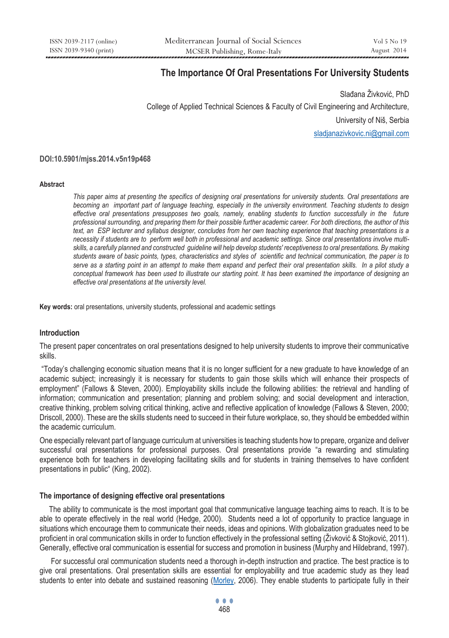# **The Importance Of Oral Presentations For University Students**

Slađana Živković, PhD College of Applied Technical Sciences & Faculty of Civil Engineering and Architecture, University of Niš, Serbia sladjanazivkovic.ni@gmail.com

# **DOI:10.5901/mjss.2014.v5n19p468**

#### **Abstract**

*This paper aims at presenting the specifics of designing oral presentations for university students. Oral presentations are becoming an important part of language teaching, especially in the university environment. Teaching students to design effective oral presentations presupposes two goals, namely, enabling students to function successfully in the future professional surrounding, and preparing them for their possible further academic career. For both directions, the author of this text, an ESP lecturer and syllabus designer, concludes from her own teaching experience that teaching presentations is a necessity if students are to perform well both in professional and academic settings. Since oral presentations involve multiskills, a carefully planned and constructed guideline will help develop students' receptiveness to oral presentations. By making students aware of basic points, types, characteristics and styles of scientific and technical communication, the paper is to serve as a starting point in an attempt to make them expand and perfect their oral presentation skills. In a pilot study a conceptual framework has been used to illustrate our starting point. It has been examined the importance of designing an effective oral presentations at the university level.* 

**Key words:** oral presentations, university students, professional and academic settings

# **Introduction**

The present paper concentrates on oral presentations designed to help university students to improve their communicative skills.

 "Today's challenging economic situation means that it is no longer sufficient for a new graduate to have knowledge of an academic subject; increasingly it is necessary for students to gain those skills which will enhance their prospects of employment" (Fallows & Steven, 2000). Employability skills include the following abilities: the retrieval and handling of information; communication and presentation; planning and problem solving; and social development and interaction, creative thinking, problem solving critical thinking, active and reflective application of knowledge (Fallows & Steven, 2000; Driscoll, 2000). These are the skills students need to succeed in their future workplace, so, they should be embedded within the academic curriculum.

One especially relevant part of language curriculum at universities is teaching students how to prepare, organize and deliver successful oral presentations for professional purposes. Oral presentations provide "a rewarding and stimulating experience both for teachers in developing facilitating skills and for students in training themselves to have confident presentations in public" (King, 2002).

# **The importance of designing effective oral presentations**

 The ability to communicate is the most important goal that communicative language teaching aims to reach. It is to be able to operate effectively in the real world (Hedge, 2000). Students need a lot of opportunity to practice language in situations which encourage them to communicate their needs, ideas and opinions. With globalization graduates need to be proficient in oral communication skills in order to function effectively in the professional setting (Živković & Stojković, 2011). Generally, effective oral communication is essential for success and promotion in business (Murphy and Hildebrand, 1997).

 For successful oral communication students need a thorough in-depth instruction and practice. The best practice is to give oral presentations. Oral presentation skills are essential for employability and true academic study as they lead students to enter into debate and sustained reasoning (Morley, 2006). They enable students to participate fully in their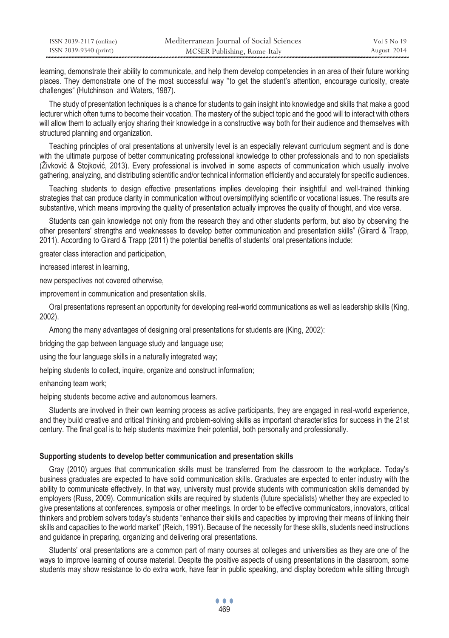| ISSN 2039-2117 (online) | Mediterranean Journal of Social Sciences | Vol 5 No 19 |
|-------------------------|------------------------------------------|-------------|
| ISSN 2039-9340 (print)  | MCSER Publishing, Rome-Italy             | August 2014 |

learning, demonstrate their ability to communicate, and help them develop competencies in an area of their future working places. They demonstrate one of the most successful way ''to get the student's attention, encourage curiosity, create challenges" (Hutchinson and Waters, 1987).

 The study of presentation techniques is a chance for students to gain insight into knowledge and skills that make a good lecturer which often turns to become their vocation. The mastery of the subject topic and the good will to interact with others will allow them to actually enjoy sharing their knowledge in a constructive way both for their audience and themselves with structured planning and organization.

 Teaching principles of oral presentations at university level is an especially relevant curriculum segment and is done with the ultimate purpose of better communicating professional knowledge to other professionals and to non specialists (Živković & Stojković, 2013). Every professional is involved in some aspects of communication which usually involve gathering, analyzing, and distributing scientific and/or technical information efficiently and accurately for specific audiences.

 Teaching students to design effective presentations implies developing their insightful and well-trained thinking strategies that can produce clarity in communication without oversimplifying scientific or vocational issues. The results are substantive, which means improving the quality of presentation actually improves the quality of thought, and vice versa.

 Students can gain knowledge not only from the research they and other students perform, but also by observing the other presenters' strengths and weaknesses to develop better communication and presentation skills" (Girard & Trapp, 2011). According to Girard & Trapp (2011) the potential benefits of students' oral presentations include:

greater class interaction and participation,

increased interest in learning,

new perspectives not covered otherwise,

improvement in communication and presentation skills.

 Oral presentations represent an opportunity for developing real-world communications as well as leadership skills (King, 2002).

Among the many advantages of designing oral presentations for students are (King, 2002):

bridging the gap between language study and language use;

using the four language skills in a naturally integrated way;

helping students to collect, inquire, organize and construct information;

enhancing team work;

helping students become active and autonomous learners.

 Students are involved in their own learning process as active participants, they are engaged in real-world experience, and they build creative and critical thinking and problem-solving skills as important characteristics for success in the 21st century. The final goal is to help students maximize their potential, both personally and professionally.

#### **Supporting students to develop better communication and presentation skills**

 Gray (2010) argues that communication skills must be transferred from the classroom to the workplace. Today's business graduates are expected to have solid communication skills. Graduates are expected to enter industry with the ability to communicate effectively. In that way, university must provide students with communication skills demanded by employers (Russ, 2009). Communication skills are required by students (future specialists) whether they are expected to give presentations at conferences, symposia or other meetings. In order to be effective communicators, innovators, critical thinkers and problem solvers today's students "enhance their skills and capacities by improving their means of linking their skills and capacities to the world market" (Reich, 1991). Because of the necessity for these skills, students need instructions and guidance in preparing, organizing and delivering oral presentations.

 Students' oral presentations are a common part of many courses at colleges and universities as they are one of the ways to improve learning of course material. Despite the positive aspects of using presentations in the classroom, some students may show resistance to do extra work, have fear in public speaking, and display boredom while sitting through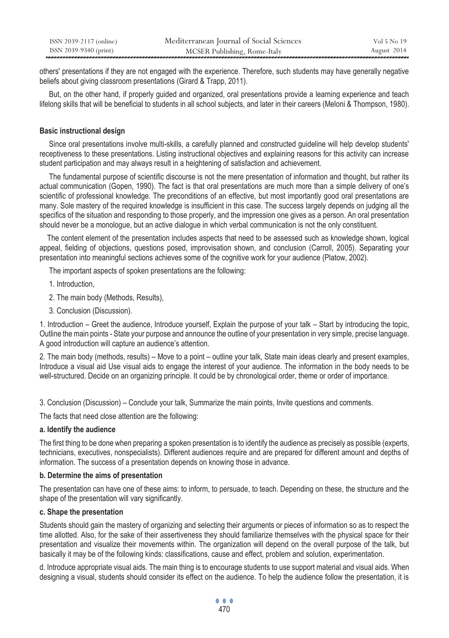| ISSN 2039-2117 (online) | Mediterranean Journal of Social Sciences | Vol 5 No 19 |
|-------------------------|------------------------------------------|-------------|
| ISSN 2039-9340 (print)  | MCSER Publishing, Rome-Italy             | August 2014 |

others' presentations if they are not engaged with the experience. Therefore, such students may have generally negative beliefs about giving classroom presentations (Girard & Trapp, 2011).

 But, on the other hand, if properly guided and organized, oral presentations provide a learning experience and teach lifelong skills that will be beneficial to students in all school subjects, and later in their careers (Meloni & Thompson, 1980).

#### **Basic instructional design**

 Since oral presentations involve multi-skills, a carefully planned and constructed guideline will help develop students' receptiveness to these presentations. Listing instructional objectives and explaining reasons for this activity can increase student participation and may always result in a heightening of satisfaction and achievement.

 The fundamental purpose of scientific discourse is not the mere presentation of information and thought, but rather its actual communication (Gopen, 1990). The fact is that oral presentations are much more than a simple delivery of one's scientific of professional knowledge. The preconditions of an effective, but most importantly good oral presentations are many. Sole mastery of the required knowledge is insufficient in this case. The success largely depends on judging all the specifics of the situation and responding to those properly, and the impression one gives as a person. An oral presentation should never be a monologue, but an active dialogue in which verbal communication is not the only constituent.

 The content element of the presentation includes aspects that need to be assessed such as knowledge shown, logical appeal, fielding of objections, questions posed, improvisation shown, and conclusion (Carroll, 2005). Separating your presentation into meaningful sections achieves some of the cognitive work for your audience (Platow, 2002).

The important aspects of spoken presentations are the following:

1. Introduction,

- 2. The main body (Methods, Results),
- 3. Conclusion (Discussion).

1. Introduction – Greet the audience, Introduce yourself, Explain the purpose of your talk – Start by introducing the topic, Outline the main points - State your purpose and announce the outline of your presentation in very simple, precise language. A good introduction will capture an audience's attention.

2. The main body (methods, results) – Move to a point – outline your talk, State main ideas clearly and present examples, Introduce a visual aid Use visual aids to engage the interest of your audience. The information in the body needs to be well-structured. Decide on an organizing principle. It could be by chronological order, theme or order of importance.

3. Conclusion (Discussion) – Conclude your talk, Summarize the main points, Invite questions and comments.

The facts that need close attention are the following:

#### **a. Identify the audience**

The first thing to be done when preparing a spoken presentation is to identify the audience as precisely as possible (experts, technicians, executives, nonspecialists). Different audiences require and are prepared for different amount and depths of information. The success of a presentation depends on knowing those in advance.

#### **b. Determine the aims of presentation**

The presentation can have one of these aims: to inform, to persuade, to teach. Depending on these, the structure and the shape of the presentation will vary significantly.

#### **c. Shape the presentation**

Students should gain the mastery of organizing and selecting their arguments or pieces of information so as to respect the time allotted. Also, for the sake of their assertiveness they should familiarize themselves with the physical space for their presentation and visualize their movements within. The organization will depend on the overall purpose of the talk, but basically it may be of the following kinds: classifications, cause and effect, problem and solution, experimentation.

d. Introduce appropriate visual aids. The main thing is to encourage students to use support material and visual aids. When designing a visual, students should consider its effect on the audience. To help the audience follow the presentation, it is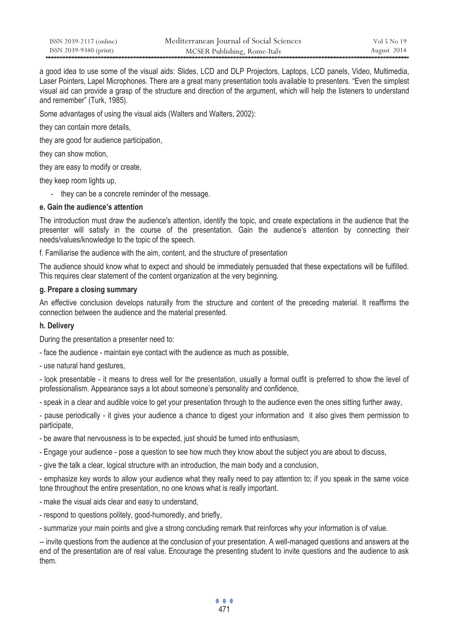| ISSN 2039-2117 (online) | Mediterranean Journal of Social Sciences | Vol 5 No 19 |
|-------------------------|------------------------------------------|-------------|
| ISSN 2039-9340 (print)  | MCSER Publishing, Rome-Italy             | August 2014 |

a good idea to use some of the visual aids: Slides, LCD and DLP Projectors, Laptops, LCD panels, Video, Multimedia, Laser Pointers, Lapel Microphones. There are a great many presentation tools available to presenters. "Even the simplest visual aid can provide a grasp of the structure and direction of the argument, which will help the listeners to understand and remember" (Turk, 1985).

Some advantages of using the visual aids (Walters and Walters, 2002):

they can contain more details,

they are good for audience participation,

they can show motion,

they are easy to modify or create,

they keep room lights up,

- they can be a concrete reminder of the message.

## **e. Gain the audience's attention**

The introduction must draw the audience's attention, identify the topic, and create expectations in the audience that the presenter will satisfy in the course of the presentation. Gain the audience's attention by connecting their needs/values/knowledge to the topic of the speech.

f. Familiarise the audience with the aim, content, and the structure of presentation

The audience should know what to expect and should be immediately persuaded that these expectations will be fulfilled. This requires clear statement of the content organization at the very beginning.

#### **g. Prepare a closing summary**

An effective conclusion develops naturally from the structure and content of the preceding material. It reaffirms the connection between the audience and the material presented.

#### **h. Delivery**

During the presentation a presenter need to:

- face the audience - maintain eye contact with the audience as much as possible,

- use natural hand gestures,

- look presentable - it means to dress well for the presentation, usually a formal outfit is preferred to show the level of professionalism. Appearance says a lot about someone's personality and confidence,

- speak in a clear and audible voice to get your presentation through to the audience even the ones sitting further away,

- pause periodically - it gives your audience a chance to digest your information and it also gives them permission to participate,

- be aware that nervousness is to be expected, just should be turned into enthusiasm,

- Engage your audience - pose a question to see how much they know about the subject you are about to discuss,

- give the talk a clear, logical structure with an introduction, the main body and a conclusion,

- emphasize key words to allow your audience what they really need to pay attention to; if you speak in the same voice tone throughout the entire presentation, no one knows what is really important.

- make the visual aids clear and easy to understand,

- respond to questions politely, good-humoredly, and briefly,

- summarize your main points and give a strong concluding remark that reinforces why your information is of value.

-- invite questions from the audience at the conclusion of your presentation. A well-managed questions and answers at the end of the presentation are of real value. Encourage the presenting student to invite questions and the audience to ask them.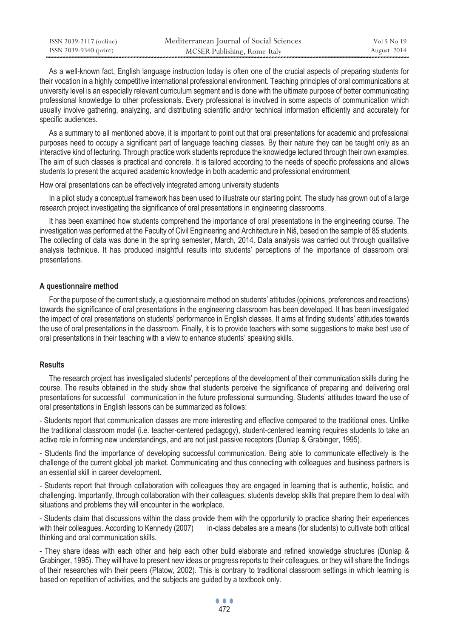| ISSN 2039-2117 (online) | Mediterranean Journal of Social Sciences | Vol 5 No 19 |
|-------------------------|------------------------------------------|-------------|
| ISSN 2039-9340 (print)  | MCSER Publishing, Rome-Italy             | August 2014 |

 As a well-known fact, English language instruction today is often one of the crucial aspects of preparing students for their vocation in a highly competitive international professional environment. Teaching principles of oral communications at university level is an especially relevant curriculum segment and is done with the ultimate purpose of better communicating professional knowledge to other professionals. Every professional is involved in some aspects of communication which usually involve gathering, analyzing, and distributing scientific and/or technical information efficiently and accurately for specific audiences.

 As a summary to all mentioned above, it is important to point out that oral presentations for academic and professional purposes need to occupy a significant part of language teaching classes. By their nature they can be taught only as an interactive kind of lecturing. Through practice work students reproduce the knowledge lectured through their own examples. The aim of such classes is practical and concrete. It is tailored according to the needs of specific professions and allows students to present the acquired academic knowledge in both academic and professional environment

How oral presentations can be effectively integrated among university students

 In a pilot study a conceptual framework has been used to illustrate our starting point. The study has grown out of a large research project investigating the significance of oral presentations in engineering classrooms.

 It has been examined how students comprehend the importance of oral presentations in the engineering course. The investigation was performed at the Faculty of Civil Engineering and Architecture in Niš, based on the sample of 85 students. The collecting of data was done in the spring semester, March, 2014. Data analysis was carried out through qualitative analysis technique. It has produced insightful results into students' perceptions of the importance of classroom oral presentations.

#### **A questionnaire method**

 For the purpose of the current study, a questionnaire method on students' attitudes (opinions, preferences and reactions) towards the significance of oral presentations in the engineering classroom has been developed. It has been investigated the impact of oral presentations on students' performance in English classes. It aims at finding students' attitudes towards the use of oral presentations in the classroom. Finally, it is to provide teachers with some suggestions to make best use of oral presentations in their teaching with a view to enhance students' speaking skills.

## **Results**

 The research project has investigated students' perceptions of the development of their communication skills during the course. The results obtained in the study show that students perceive the significance of preparing and delivering oral presentations for successful communication in the future professional surrounding. Students' attitudes toward the use of oral presentations in English lessons can be summarized as follows:

- Students report that communication classes are more interesting and effective compared to the traditional ones. Unlike the traditional classroom model (i.e. teacher-centered pedagogy), student-centered learning requires students to take an active role in forming new understandings, and are not just passive receptors (Dunlap & Grabinger, 1995).

- Students find the importance of developing successful communication. Being able to communicate effectively is the challenge of the current global job market. Communicating and thus connecting with colleagues and business partners is an essential skill in career development.

- Students report that through collaboration with colleagues they are engaged in learning that is authentic, holistic, and challenging. Importantly, through collaboration with their colleagues, students develop skills that prepare them to deal with situations and problems they will encounter in the workplace.

- Students claim that discussions within the class provide them with the opportunity to practice sharing their experiences with their colleagues. According to Kennedy (2007) in-class debates are a means (for students) to cultivate both critical thinking and oral communication skills.

- They share ideas with each other and help each other build elaborate and refined knowledge structures (Dunlap & Grabinger, 1995). They will have to present new ideas or progress reports to their colleagues, or they will share the findings of their researches with their peers (Platow, 2002). This is contrary to traditional classroom settings in which learning is based on repetition of activities, and the subjects are guided by a textbook only.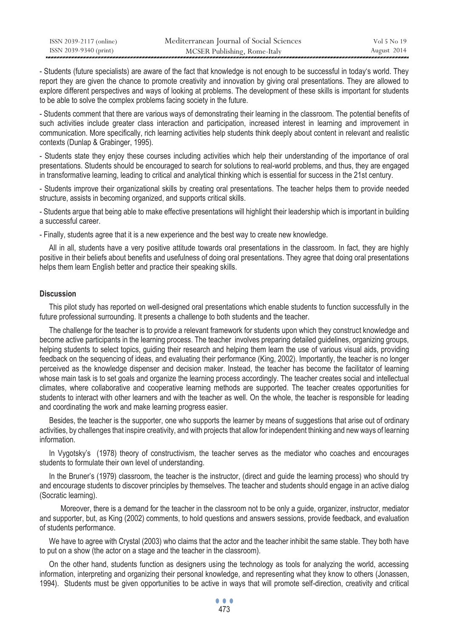| ISSN 2039-2117 (online) | Mediterranean Journal of Social Sciences | Vol 5 No 19 |
|-------------------------|------------------------------------------|-------------|
| ISSN 2039-9340 (print)  | MCSER Publishing, Rome-Italy             | August 2014 |

- Students (future specialists) are aware of the fact that knowledge is not enough to be successful in today's world. They report they are given the chance to promote creativity and innovation by giving oral presentations. They are allowed to explore different perspectives and ways of looking at problems. The development of these skills is important for students to be able to solve the complex problems facing society in the future.

- Students comment that there are various ways of demonstrating their learning in the classroom. The potential benefits of such activities include greater class interaction and participation, increased interest in learning and improvement in communication. More specifically, rich learning activities help students think deeply about content in relevant and realistic contexts (Dunlap & Grabinger, 1995).

- Students state they enjoy these courses including activities which help their understanding of the importance of oral presentations. Students should be encouraged to search for solutions to real-world problems, and thus, they are engaged in transformative learning, leading to critical and analytical thinking which is essential for success in the 21st century.

- Students improve their organizational skills by creating oral presentations. The teacher helps them to provide needed structure, assists in becoming organized, and supports critical skills.

- Students argue that being able to make effective presentations will highlight their leadership which is important in building a successful career.

- Finally, students agree that it is a new experience and the best way to create new knowledge.

 All in all, students have a very positive attitude towards oral presentations in the classroom. In fact, they are highly positive in their beliefs about benefits and usefulness of doing oral presentations. They agree that doing oral presentations helps them learn English better and practice their speaking skills.

## **Discussion**

 This pilot study has reported on well-designed oral presentations which enable students to function successfully in the future professional surrounding. It presents a challenge to both students and the teacher.

 The challenge for the teacher is to provide a relevant framework for students upon which they construct knowledge and become active participants in the learning process. The teacher involves preparing detailed guidelines, organizing groups, helping students to select topics, guiding their research and helping them learn the use of various visual aids, providing feedback on the sequencing of ideas, and evaluating their performance (King, 2002). Importantly, the teacher is no longer perceived as the knowledge dispenser and decision maker. Instead, the teacher has become the facilitator of learning whose main task is to set goals and organize the learning process accordingly. The teacher creates social and intellectual climates, where collaborative and cooperative learning methods are supported. The teacher creates opportunities for students to interact with other learners and with the teacher as well. On the whole, the teacher is responsible for leading and coordinating the work and make learning progress easier.

 Besides, the teacher is the supporter, one who supports the learner by means of suggestions that arise out of ordinary activities, by challenges that inspire creativity, and with projects that allow for independent thinking and new ways of learning information.

 In Vygotsky's (1978) theory of constructivism, the teacher serves as the mediator who coaches and encourages students to formulate their own level of understanding.

In the Bruner's (1979) classroom, the teacher is the instructor, (direct and guide the learning process) who should try and encourage students to discover principles by themselves. The teacher and students should engage in an active dialog (Socratic learning).

 Moreover, there is a demand for the teacher in the classroom not to be only a guide, organizer, instructor, mediator and supporter, but, as King (2002) comments, to hold questions and answers sessions, provide feedback, and evaluation of students performance.

 We have to agree with Crystal (2003) who claims that the actor and the teacher inhibit the same stable. They both have to put on a show (the actor on a stage and the teacher in the classroom).

 On the other hand, students function as designers using the technology as tools for analyzing the world, accessing information, interpreting and organizing their personal knowledge, and representing what they know to others (Jonassen, 1994). Students must be given opportunities to be active in ways that will promote self-direction, creativity and critical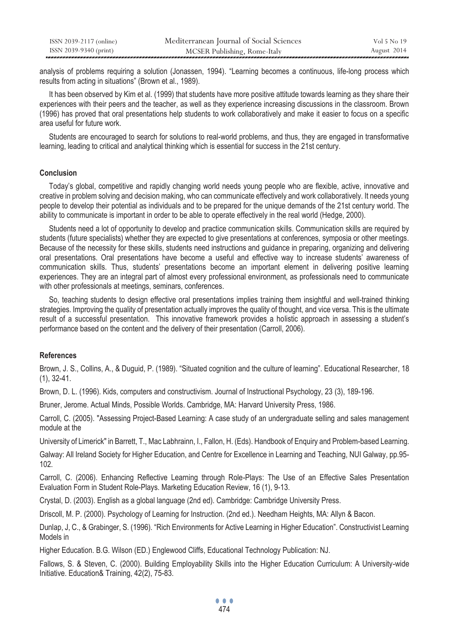| ISSN 2039-2117 (online) | Mediterranean Journal of Social Sciences | Vol 5 No 19 |
|-------------------------|------------------------------------------|-------------|
| ISSN 2039-9340 (print)  | MCSER Publishing, Rome-Italy             | August 2014 |

analysis of problems requiring a solution (Jonassen, 1994). "Learning becomes a continuous, life-long process which results from acting in situations" (Brown et al., 1989).

 It has been observed by Kim et al. (1999) that students have more positive attitude towards learning as they share their experiences with their peers and the teacher, as well as they experience increasing discussions in the classroom. Brown (1996) has proved that oral presentations help students to work collaboratively and make it easier to focus on a specific area useful for future work.

 Students are encouraged to search for solutions to real-world problems, and thus, they are engaged in transformative learning, leading to critical and analytical thinking which is essential for success in the 21st century.

#### **Conclusion**

 Today's global, competitive and rapidly changing world needs young people who are flexible, active, innovative and creative in problem solving and decision making, who can communicate effectively and work collaboratively. It needs young people to develop their potential as individuals and to be prepared for the unique demands of the 21st century world. The ability to communicate is important in order to be able to operate effectively in the real world (Hedge, 2000).

 Students need a lot of opportunity to develop and practice communication skills. Communication skills are required by students (future specialists) whether they are expected to give presentations at conferences, symposia or other meetings. Because of the necessity for these skills, students need instructions and guidance in preparing, organizing and delivering oral presentations. Oral presentations have become a useful and effective way to increase students' awareness of communication skills. Thus, students' presentations become an important element in delivering positive learning experiences. They are an integral part of almost every professional environment, as professionals need to communicate with other professionals at meetings, seminars, conferences.

 So, teaching students to design effective oral presentations implies training them insightful and well-trained thinking strategies. Improving the quality of presentation actually improves the quality of thought, and vice versa. This is the ultimate result of a successful presentation. This innovative framework provides a holistic approach in assessing a student's performance based on the content and the delivery of their presentation (Carroll, 2006).

## **References**

Brown, J. S., Collins, A., & Duguid, P. (1989). "Situated cognition and the culture of learning". Educational Researcher, 18 (1), 32-41.

Brown, D. L. (1996). Kids, computers and constructivism. Journal of Instructional Psychology, 23 (3), 189-196.

Bruner, Jerome. Actual Minds, Possible Worlds. Cambridge, MA: Harvard University Press, 1986.

Carroll, C. (2005). "Assessing Project-Based Learning: A case study of an undergraduate selling and sales management module at the

University of Limerick" in Barrett, T., Mac Labhrainn, I., Fallon, H. (Eds). Handbook of Enquiry and Problem-based Learning.

Galway: All Ireland Society for Higher Education, and Centre for Excellence in Learning and Teaching, NUI Galway, pp.95- 102.

Carroll, C. (2006). Enhancing Reflective Learning through Role-Plays: The Use of an Effective Sales Presentation Evaluation Form in Student Role-Plays. Marketing Education Review, 16 (1), 9-13.

Crystal, D. (2003). English as a global language (2nd ed). Cambridge: Cambridge University Press.

Driscoll, M. P. (2000). Psychology of Learning for Instruction. (2nd ed.). Needham Heights, MA: Allyn & Bacon.

Dunlap, J, C., & Grabinger, S. (1996). "Rich Environments for Active Learning in Higher Education". Constructivist Learning Models in

Higher Education. B.G. Wilson (ED.) Englewood Cliffs, Educational Technology Publication: NJ.

Fallows, S. & Steven, C. (2000). Building Employability Skills into the Higher Education Curriculum: A University-wide Initiative. Education& Training, 42(2), 75-83.